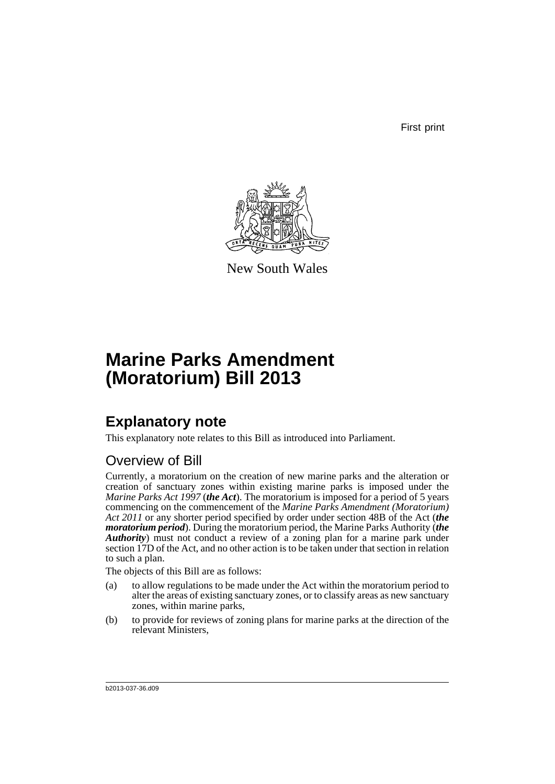First print



New South Wales

# **Marine Parks Amendment (Moratorium) Bill 2013**

## **Explanatory note**

This explanatory note relates to this Bill as introduced into Parliament.

### Overview of Bill

Currently, a moratorium on the creation of new marine parks and the alteration or creation of sanctuary zones within existing marine parks is imposed under the *Marine Parks Act 1997* (*the Act*). The moratorium is imposed for a period of 5 years commencing on the commencement of the *Marine Parks Amendment (Moratorium) Act 2011* or any shorter period specified by order under section 48B of the Act (*the moratorium period*). During the moratorium period, the Marine Parks Authority (*the Authority*) must not conduct a review of a zoning plan for a marine park under section 17D of the Act, and no other action is to be taken under that section in relation to such a plan.

The objects of this Bill are as follows:

- (a) to allow regulations to be made under the Act within the moratorium period to alter the areas of existing sanctuary zones, or to classify areas as new sanctuary zones, within marine parks,
- (b) to provide for reviews of zoning plans for marine parks at the direction of the relevant Ministers,

b2013-037-36.d09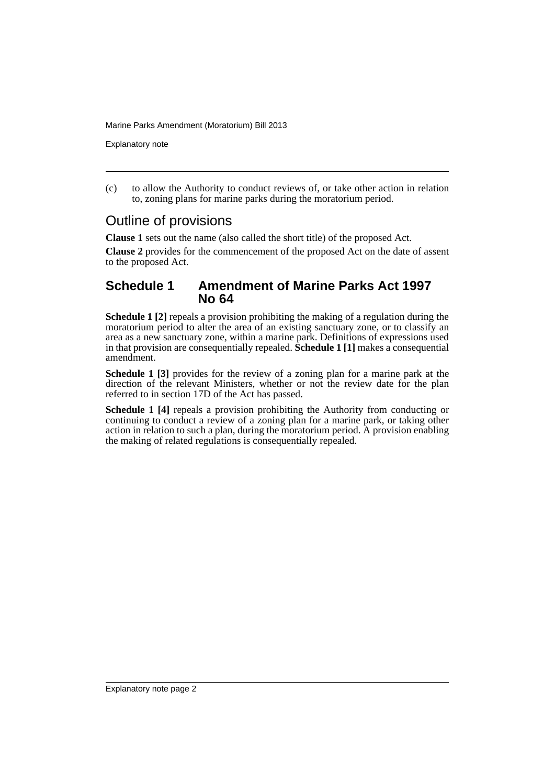Marine Parks Amendment (Moratorium) Bill 2013

Explanatory note

(c) to allow the Authority to conduct reviews of, or take other action in relation to, zoning plans for marine parks during the moratorium period.

### Outline of provisions

**Clause 1** sets out the name (also called the short title) of the proposed Act.

**Clause 2** provides for the commencement of the proposed Act on the date of assent to the proposed Act.

#### **Schedule 1 Amendment of Marine Parks Act 1997 No 64**

**Schedule 1 [2]** repeals a provision prohibiting the making of a regulation during the moratorium period to alter the area of an existing sanctuary zone, or to classify an area as a new sanctuary zone, within a marine park. Definitions of expressions used in that provision are consequentially repealed. **Schedule 1 [1]** makes a consequential amendment.

**Schedule 1 [3]** provides for the review of a zoning plan for a marine park at the direction of the relevant Ministers, whether or not the review date for the plan referred to in section 17D of the Act has passed.

**Schedule 1 [4]** repeals a provision prohibiting the Authority from conducting or continuing to conduct a review of a zoning plan for a marine park, or taking other action in relation to such a plan, during the moratorium period. A provision enabling the making of related regulations is consequentially repealed.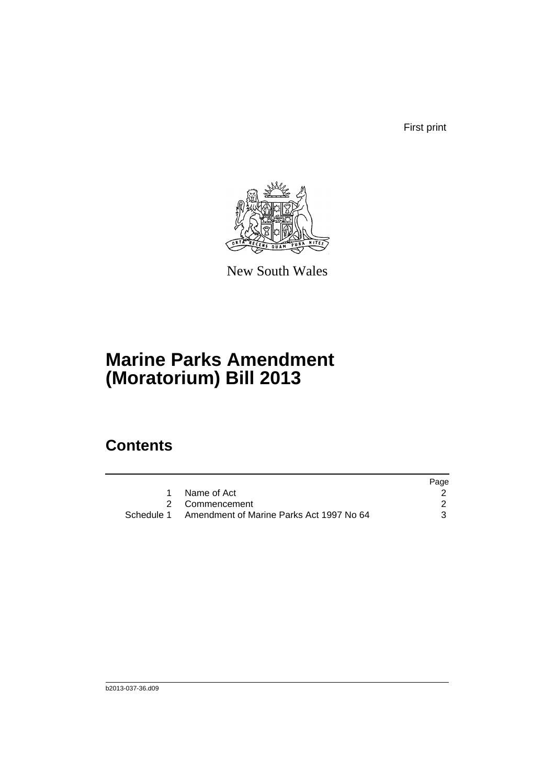First print



New South Wales

## **Marine Parks Amendment (Moratorium) Bill 2013**

### **Contents**

|                                                     | Page |
|-----------------------------------------------------|------|
| Name of Act                                         |      |
| 2 Commencement                                      |      |
| Schedule 1 Amendment of Marine Parks Act 1997 No 64 | 3    |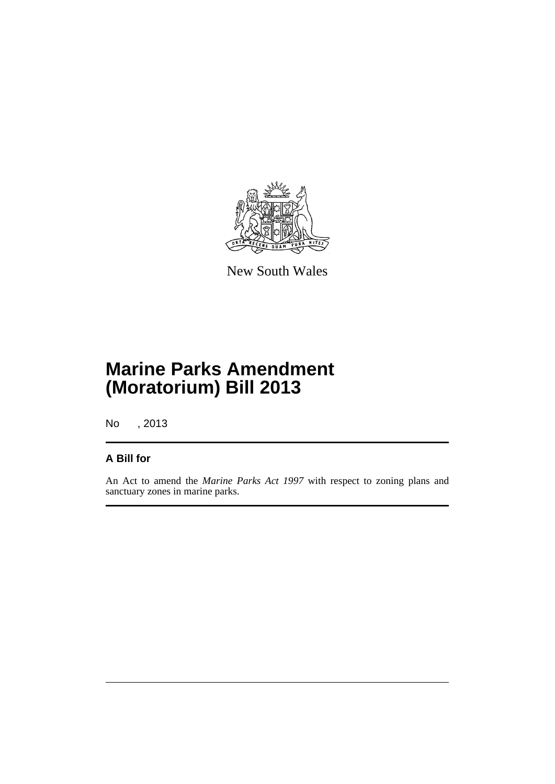

New South Wales

## **Marine Parks Amendment (Moratorium) Bill 2013**

No , 2013

#### **A Bill for**

An Act to amend the *Marine Parks Act 1997* with respect to zoning plans and sanctuary zones in marine parks.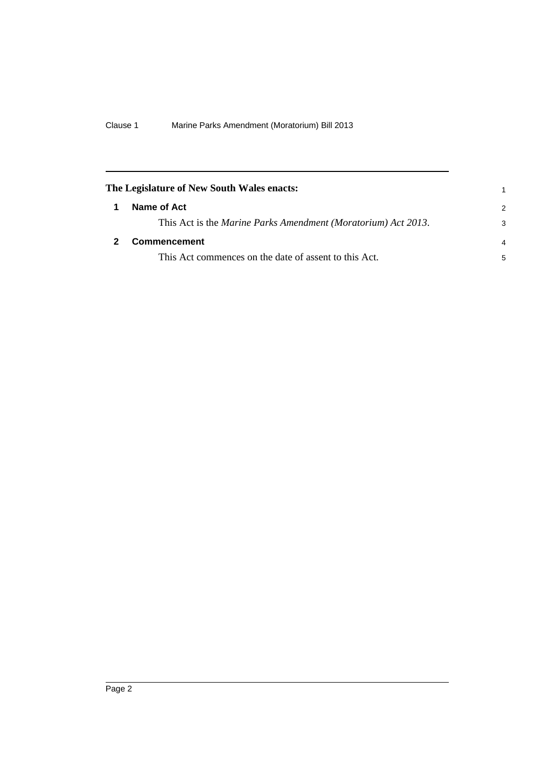<span id="page-5-1"></span><span id="page-5-0"></span>

| The Legislature of New South Wales enacts:                    |                |
|---------------------------------------------------------------|----------------|
| Name of Act                                                   | $\mathcal{P}$  |
| This Act is the Marine Parks Amendment (Moratorium) Act 2013. | 3              |
| Commencement                                                  | $\overline{4}$ |
| This Act commences on the date of assent to this Act.         | 5              |